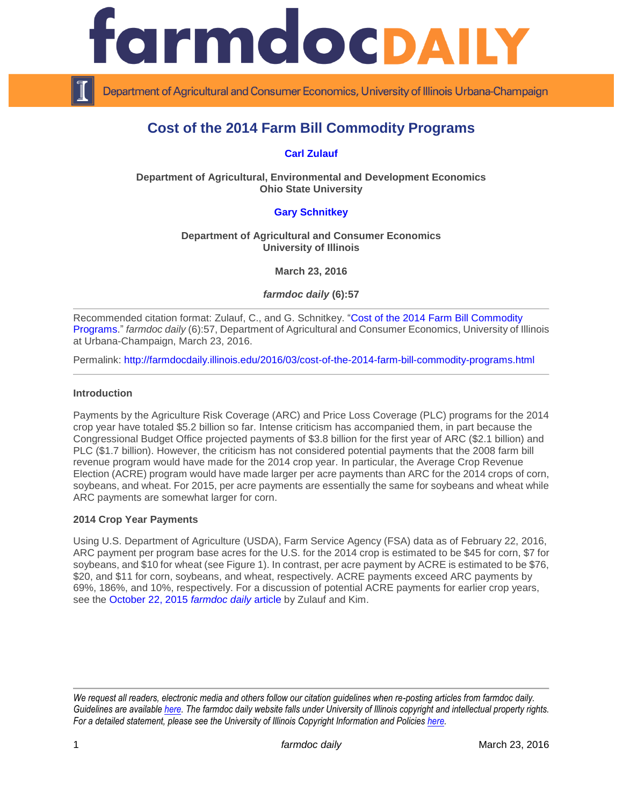

Department of Agricultural and Consumer Economics, University of Illinois Urbana-Champaign

# **Cost of the 2014 Farm Bill Commodity Programs**

**[Carl Zulauf](http://aede.osu.edu/our-people/carl-zulauf)**

**Department of Agricultural, Environmental and Development Economics Ohio State University**

## **[Gary Schnitkey](http://farmdoc.illinois.edu/schnitkey/)**

**Department of Agricultural and Consumer Economics University of Illinois**

**March 23, 2016**

*farmdoc daily* **(6):57**

Recommended citation format: Zulauf, C., and G. Schnitkey. ["Cost of the 2014 Farm Bill Commodity](http://farmdocdaily.illinois.edu/2016/03/cost-of-the-2014-farm-bill-commodity-programs.html)  [Programs.](http://farmdocdaily.illinois.edu/2016/03/cost-of-the-2014-farm-bill-commodity-programs.html)" *farmdoc daily* (6):57, Department of Agricultural and Consumer Economics, University of Illinois at Urbana-Champaign, March 23, 2016.

Permalink: <http://farmdocdaily.illinois.edu/2016/03/cost-of-the-2014-farm-bill-commodity-programs.html>

### **Introduction**

Payments by the Agriculture Risk Coverage (ARC) and Price Loss Coverage (PLC) programs for the 2014 crop year have totaled \$5.2 billion so far. Intense criticism has accompanied them, in part because the Congressional Budget Office projected payments of \$3.8 billion for the first year of ARC (\$2.1 billion) and PLC (\$1.7 billion). However, the criticism has not considered potential payments that the 2008 farm bill revenue program would have made for the 2014 crop year. In particular, the Average Crop Revenue Election (ACRE) program would have made larger per acre payments than ARC for the 2014 crops of corn, soybeans, and wheat. For 2015, per acre payments are essentially the same for soybeans and wheat while ARC payments are somewhat larger for corn.

### **2014 Crop Year Payments**

Using U.S. Department of Agriculture (USDA), Farm Service Agency (FSA) data as of February 22, 2016, ARC payment per program base acres for the U.S. for the 2014 crop is estimated to be \$45 for corn, \$7 for soybeans, and \$10 for wheat (see Figure 1). In contrast, per acre payment by ACRE is estimated to be \$76, \$20, and \$11 for corn, soybeans, and wheat, respectively. ACRE payments exceed ARC payments by 69%, 186%, and 10%, respectively. For a discussion of potential ACRE payments for earlier crop years, see the [October 22, 2015](http://farmdocdaily.illinois.edu/2015/10/acre-potential-payments-in-historical-perspective.html) *farmdoc daily* article by Zulauf and Kim.

*We request all readers, electronic media and others follow our citation guidelines when re-posting articles from farmdoc daily. Guidelines are available [here.](http://farmdocdaily.illinois.edu/citationguide.html) The farmdoc daily website falls under University of Illinois copyright and intellectual property rights. For a detailed statement, please see the University of Illinois Copyright Information and Policies [here.](http://www.cio.illinois.edu/policies/copyright/)*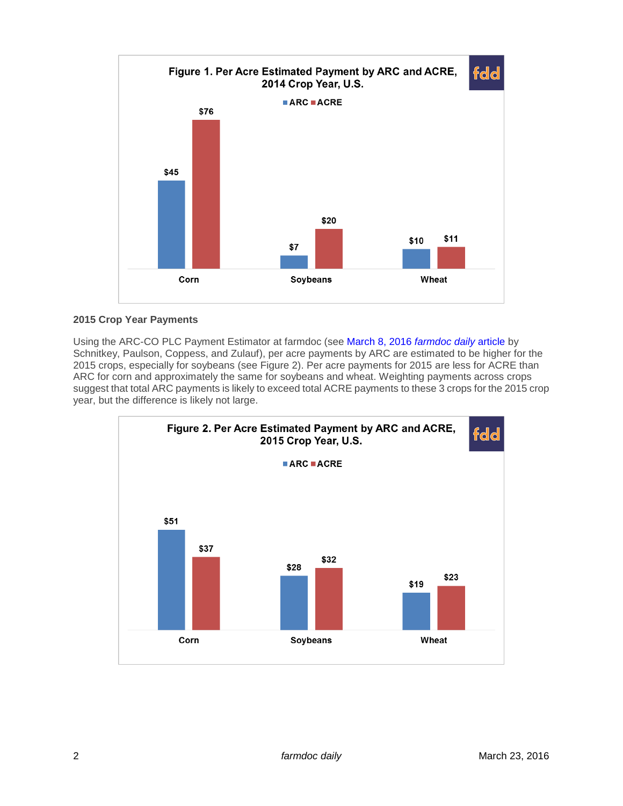

## **2015 Crop Year Payments**

Using the ARC-CO PLC Payment Estimator at farmdoc (see [March 8, 2016](http://farmdocdaily.illinois.edu/2016/03/2015-and-2016-arc-co-payment-estimates.html) *farmdoc daily* article by Schnitkey, Paulson, Coppess, and Zulauf), per acre payments by ARC are estimated to be higher for the 2015 crops, especially for soybeans (see Figure 2). Per acre payments for 2015 are less for ACRE than ARC for corn and approximately the same for soybeans and wheat. Weighting payments across crops suggest that total ARC payments is likely to exceed total ACRE payments to these 3 crops for the 2015 crop year, but the difference is likely not large.

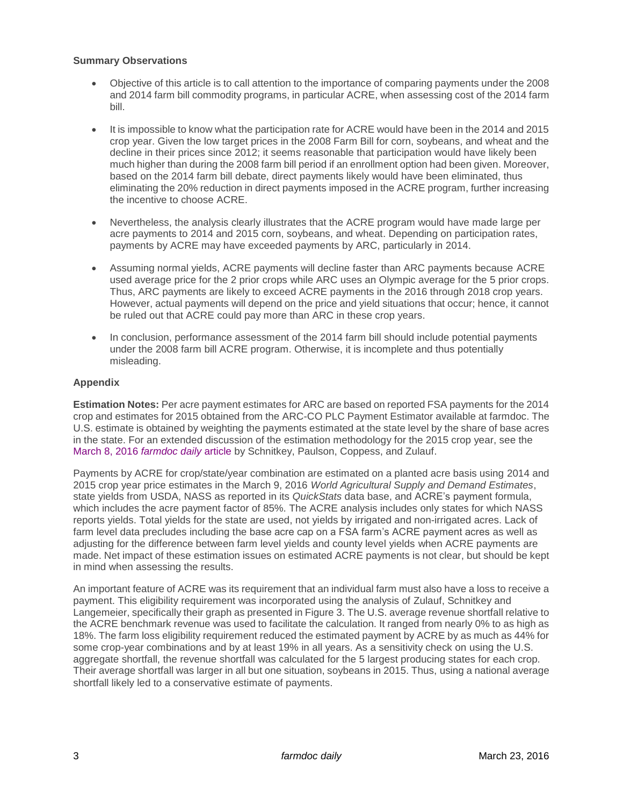## **Summary Observations**

- Objective of this article is to call attention to the importance of comparing payments under the 2008 and 2014 farm bill commodity programs, in particular ACRE, when assessing cost of the 2014 farm bill.
- It is impossible to know what the participation rate for ACRE would have been in the 2014 and 2015 crop year. Given the low target prices in the 2008 Farm Bill for corn, soybeans, and wheat and the decline in their prices since 2012; it seems reasonable that participation would have likely been much higher than during the 2008 farm bill period if an enrollment option had been given. Moreover, based on the 2014 farm bill debate, direct payments likely would have been eliminated, thus eliminating the 20% reduction in direct payments imposed in the ACRE program, further increasing the incentive to choose ACRE.
- Nevertheless, the analysis clearly illustrates that the ACRE program would have made large per acre payments to 2014 and 2015 corn, soybeans, and wheat. Depending on participation rates, payments by ACRE may have exceeded payments by ARC, particularly in 2014.
- Assuming normal yields, ACRE payments will decline faster than ARC payments because ACRE used average price for the 2 prior crops while ARC uses an Olympic average for the 5 prior crops. Thus, ARC payments are likely to exceed ACRE payments in the 2016 through 2018 crop years. However, actual payments will depend on the price and yield situations that occur; hence, it cannot be ruled out that ACRE could pay more than ARC in these crop years.
- In conclusion, performance assessment of the 2014 farm bill should include potential payments under the 2008 farm bill ACRE program. Otherwise, it is incomplete and thus potentially misleading.

## **Appendix**

**Estimation Notes:** Per acre payment estimates for ARC are based on reported FSA payments for the 2014 crop and estimates for 2015 obtained from the ARC-CO PLC Payment Estimator available at farmdoc. The U.S. estimate is obtained by weighting the payments estimated at the state level by the share of base acres in the state. For an extended discussion of the estimation methodology for the 2015 crop year, see the [March 8, 2016](http://farmdocdaily.illinois.edu/2016/03/2015-and-2016-arc-co-payment-estimates.html) *farmdoc daily* article by Schnitkey, Paulson, Coppess, and Zulauf.

Payments by ACRE for crop/state/year combination are estimated on a planted acre basis using 2014 and 2015 crop year price estimates in the March 9, 2016 *World Agricultural Supply and Demand Estimates*, state yields from USDA, NASS as reported in its *QuickStats* data base, and ACRE's payment formula, which includes the acre payment factor of 85%. The ACRE analysis includes only states for which NASS reports yields. Total yields for the state are used, not yields by irrigated and non-irrigated acres. Lack of farm level data precludes including the base acre cap on a FSA farm's ACRE payment acres as well as adjusting for the difference between farm level yields and county level yields when ACRE payments are made. Net impact of these estimation issues on estimated ACRE payments is not clear, but should be kept in mind when assessing the results.

An important feature of ACRE was its requirement that an individual farm must also have a loss to receive a payment. This eligibility requirement was incorporated using the analysis of Zulauf, Schnitkey and Langemeier, specifically their graph as presented in Figure 3. The U.S. average revenue shortfall relative to the ACRE benchmark revenue was used to facilitate the calculation. It ranged from nearly 0% to as high as 18%. The farm loss eligibility requirement reduced the estimated payment by ACRE by as much as 44% for some crop-year combinations and by at least 19% in all years. As a sensitivity check on using the U.S. aggregate shortfall, the revenue shortfall was calculated for the 5 largest producing states for each crop. Their average shortfall was larger in all but one situation, soybeans in 2015. Thus, using a national average shortfall likely led to a conservative estimate of payments.